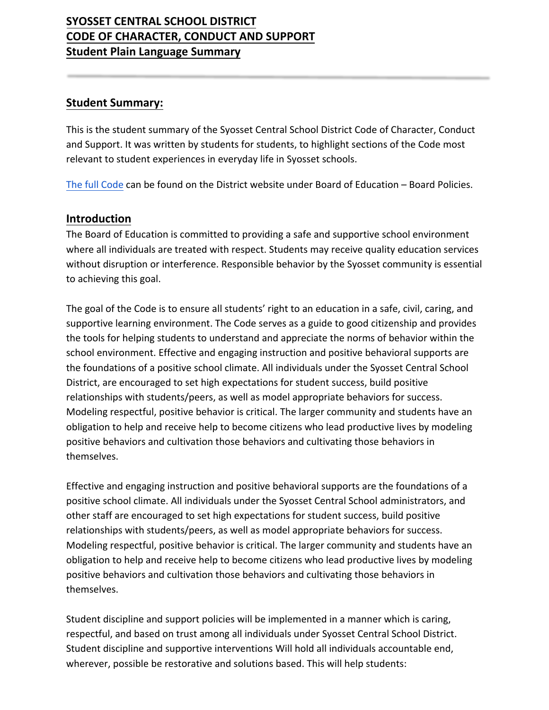# **SYOSSET CENTRAL SCHOOL DISTRICT CODE OF CHARACTER, CONDUCT AND SUPPORT Student Plain Language Summary**

#### **Student Summary:**

This is the student summary of the Syosset Central School District Code of Character, Conduct and Support. It was written by students for students, to highlight sections of the Code most relevant to student experiences in everyday life in Syosset schools.

[The full Code](https://www.syossetschools.org/site/handlers/filedownload.ashx?moduleinstanceid=1296&dataid=9186&FileName=Policy%205300%20Code%20of%20conduct%20draft%2010.8.19.pdf) can be found on the District website under Board of Education – Board Policies.

#### **Introduction**

The Board of Education is committed to providing a safe and supportive school environment where all individuals are treated with respect. Students may receive quality education services without disruption or interference. Responsible behavior by the Syosset community is essential to achieving this goal.

The goal of the Code is to ensure all students' right to an education in a safe, civil, caring, and supportive learning environment. The Code serves as a guide to good citizenship and provides the tools for helping students to understand and appreciate the norms of behavior within the school environment. Effective and engaging instruction and positive behavioral supports are the foundations of a positive school climate. All individuals under the Syosset Central School District, are encouraged to set high expectations for student success, build positive relationships with students/peers, as well as model appropriate behaviors for success. Modeling respectful, positive behavior is critical. The larger community and students have an obligation to help and receive help to become citizens who lead productive lives by modeling positive behaviors and cultivation those behaviors and cultivating those behaviors in themselves.

Effective and engaging instruction and positive behavioral supports are the foundations of a positive school climate. All individuals under the Syosset Central School administrators, and other staff are encouraged to set high expectations for student success, build positive relationships with students/peers, as well as model appropriate behaviors for success. Modeling respectful, positive behavior is critical. The larger community and students have an obligation to help and receive help to become citizens who lead productive lives by modeling positive behaviors and cultivation those behaviors and cultivating those behaviors in themselves.

Student discipline and support policies will be implemented in a manner which is caring, respectful, and based on trust among all individuals under Syosset Central School District. Student discipline and supportive interventions Will hold all individuals accountable end, wherever, possible be restorative and solutions based. This will help students: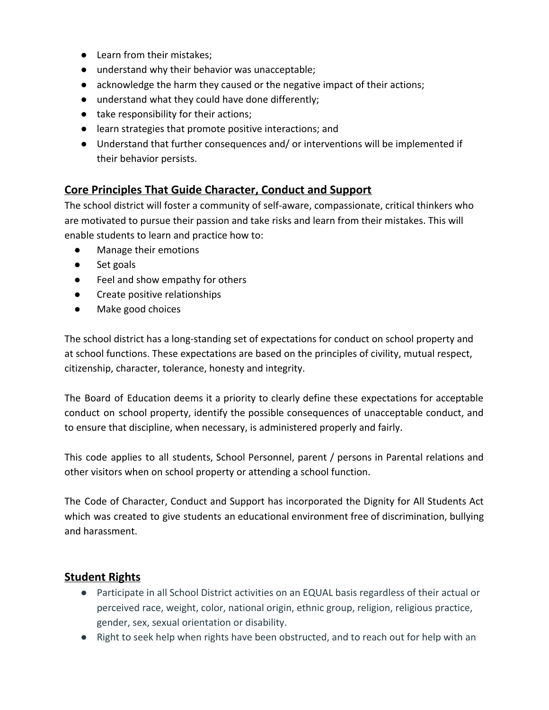- Learn from their mistakes;
- understand why their behavior was unacceptable;
- acknowledge the harm they caused or the negative impact of their actions;
- understand what they could have done differently;
- take responsibility for their actions;
- learn strategies that promote positive interactions; and
- Understand that further consequences and/ or interventions will be implemented if their behavior persists.

### **Core Principles That Guide Character, Conduct and Support**

The school district will foster a community of self-aware, compassionate, critical thinkers who are motivated to pursue their passion and take risks and learn from their mistakes. This will enable students to learn and practice how to:

- Manage their emotions
- Set goals
- Feel and show empathy for others
- Create positive relationships
- Make good choices

The school district has a long-standing set of expectations for conduct on school property and at school functions. These expectations are based on the principles of civility, mutual respect, citizenship, character, tolerance, honesty and integrity.

The Board of Education deems it a priority to clearly define these expectations for acceptable conduct on school property, identify the possible consequences of unacceptable conduct, and to ensure that discipline, when necessary, is administered properly and fairly.

This code applies to all students, School Personnel, parent / persons in Parental relations and other visitors when on school property or attending a school function.

The Code of Character, Conduct and Support has incorporated the Dignity for All Students Act which was created to give students an educational environment free of discrimination, bullying and harassment.

#### **Student Rights**

- Participate in all School District activities on an EQUAL basis regardless of their actual or perceived race, weight, color, national origin, ethnic group, religion, religious practice, gender, sex, sexual orientation or disability.
- Right to seek help when rights have been obstructed, and to reach out for help with an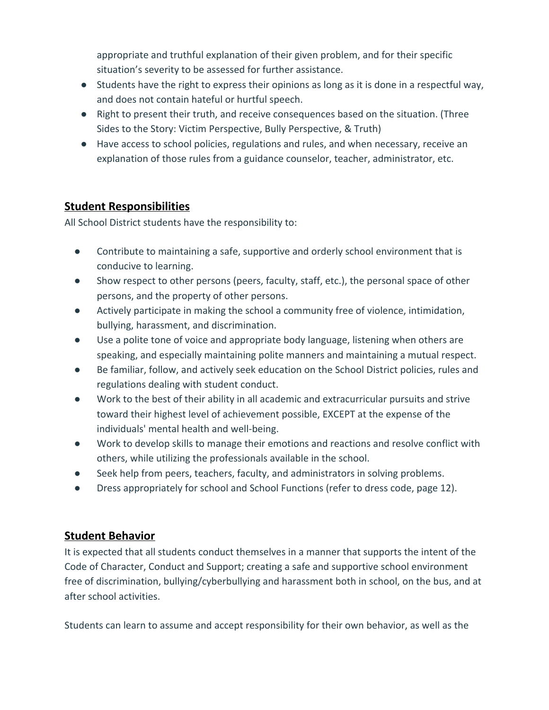appropriate and truthful explanation of their given problem, and for their specific situation's severity to be assessed for further assistance.

- Students have the right to express their opinions as long as it is done in a respectful way, and does not contain hateful or hurtful speech.
- Right to present their truth, and receive consequences based on the situation. (Three Sides to the Story: Victim Perspective, Bully Perspective, & Truth)
- Have access to school policies, regulations and rules, and when necessary, receive an explanation of those rules from a guidance counselor, teacher, administrator, etc.

### **Student Responsibilities**

All School District students have the responsibility to:

- Contribute to maintaining a safe, supportive and orderly school environment that is conducive to learning.
- Show respect to other persons (peers, faculty, staff, etc.), the personal space of other persons, and the property of other persons.
- Actively participate in making the school a community free of violence, intimidation, bullying, harassment, and discrimination.
- Use a polite tone of voice and appropriate body language, listening when others are speaking, and especially maintaining polite manners and maintaining a mutual respect.
- Be familiar, follow, and actively seek education on the School District policies, rules and regulations dealing with student conduct.
- Work to the best of their ability in all academic and extracurricular pursuits and strive toward their highest level of achievement possible, EXCEPT at the expense of the individuals' mental health and well-being.
- Work to develop skills to manage their emotions and reactions and resolve conflict with others, while utilizing the professionals available in the school.
- Seek help from peers, teachers, faculty, and administrators in solving problems.
- Dress appropriately for school and School Functions (refer to dress code, page 12).

# **Student Behavior**

It is expected that all students conduct themselves in a manner that supports the intent of the Code of Character, Conduct and Support; creating a safe and supportive school environment free of discrimination, bullying/cyberbullying and harassment both in school, on the bus, and at after school activities.

Students can learn to assume and accept responsibility for their own behavior, as well as the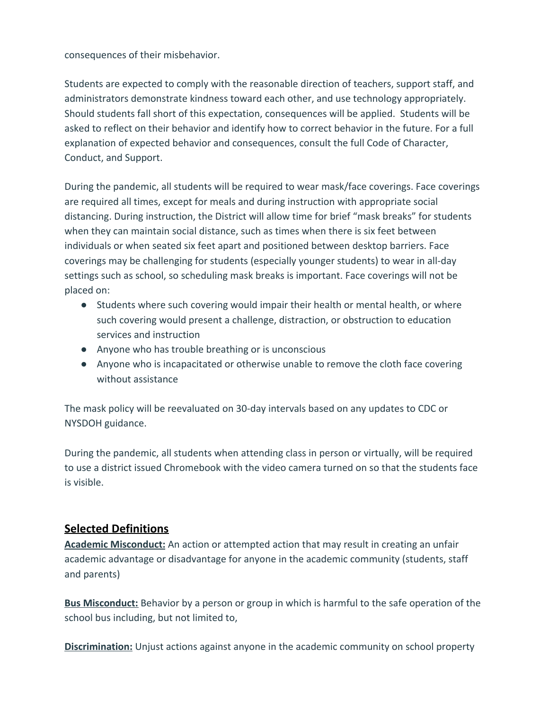consequences of their misbehavior.

Students are expected to comply with the reasonable direction of teachers, support staff, and administrators demonstrate kindness toward each other, and use technology appropriately. Should students fall short of this expectation, consequences will be applied. Students will be asked to reflect on their behavior and identify how to correct behavior in the future. For a full explanation of expected behavior and consequences, consult the full Code of Character, Conduct, and Support.

During the pandemic, all students will be required to wear mask/face coverings. Face coverings are required all times, except for meals and during instruction with appropriate social distancing. During instruction, the District will allow time for brief "mask breaks" for students when they can maintain social distance, such as times when there is six feet between individuals or when seated six feet apart and positioned between desktop barriers. Face coverings may be challenging for students (especially younger students) to wear in all-day settings such as school, so scheduling mask breaks is important. Face coverings will not be placed on:

- Students where such covering would impair their health or mental health, or where such covering would present a challenge, distraction, or obstruction to education services and instruction
- Anyone who has trouble breathing or is unconscious
- Anyone who is incapacitated or otherwise unable to remove the cloth face covering without assistance

The mask policy will be reevaluated on 30-day intervals based on any updates to CDC or NYSDOH guidance.

During the pandemic, all students when attending class in person or virtually, will be required to use a district issued Chromebook with the video camera turned on so that the students face is visible.

# **Selected Definitions**

**Academic Misconduct:** An action or attempted action that may result in creating an unfair academic advantage or disadvantage for anyone in the academic community (students, staff and parents)

**Bus Misconduct:** Behavior by a person or group in which is harmful to the safe operation of the school bus including, but not limited to,

**Discrimination:** Unjust actions against anyone in the academic community on school property